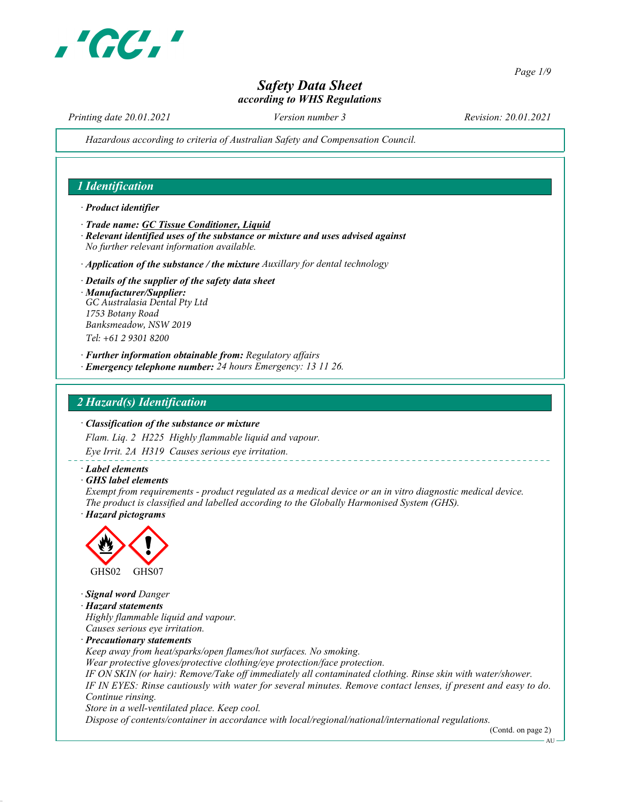

Page 1/9

# Safety Data Sheet according to WHS Regulations

Printing date 20.01.2021 Version number 3 Revision: 20.01.2021

Hazardous according to criteria of Australian Safety and Compensation Council.

# 1 Identification

#### · Product identifier

- · Trade name: GC Tissue Conditioner, Liquid
- · Relevant identified uses of the substance or mixture and uses advised against No further relevant information available.
- $\cdot$  Application of the substance / the mixture Auxillary for dental technology
- · Details of the supplier of the safety data sheet · Manufacturer/Supplier:
- *GC Australasia Dental Pty Ltd 1753 Botany Road Banksmeadow, NSW 2019 Tel: +61 2 9301 8200*
- · Further information obtainable from: Regulatory affairs
- · Emergency telephone number: 24 hours Emergency: 13 11 26.

# 2 Hazard(s) Identification

#### · Classification of the substance or mixture

Flam. Liq. 2 H225 Highly flammable liquid and vapour.

Eye Irrit. 2A H319 Causes serious eye irritation.

#### · Label elements

· GHS label elements

Exempt from requirements - product regulated as a medical device or an in vitro diagnostic medical device. The product is classified and labelled according to the Globally Harmonised System (GHS).

· Hazard pictograms



· Signal word Danger · Hazard statements

Highly flammable liquid and vapour. Causes serious eye irritation.

· Precautionary statements

Keep away from heat/sparks/open flames/hot surfaces. No smoking.

Wear protective gloves/protective clothing/eye protection/face protection.

IF ON SKIN (or hair): Remove/Take off immediately all contaminated clothing. Rinse skin with water/shower. IF IN EYES: Rinse cautiously with water for several minutes. Remove contact lenses, if present and easy to do. Continue rinsing.

Store in a well-ventilated place. Keep cool.

Dispose of contents/container in accordance with local/regional/national/international regulations.

(Contd. on page 2)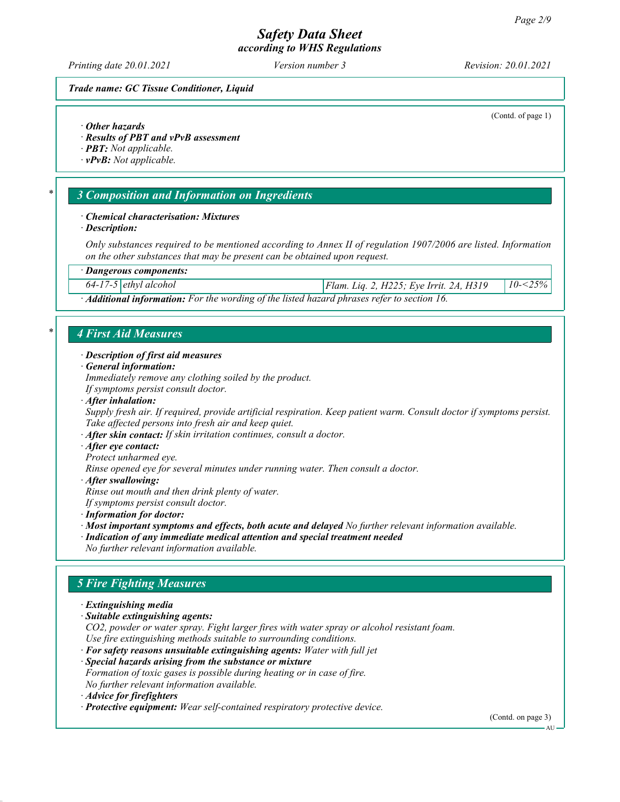Printing date 20.01.2021 **Version number 3** Revision: 20.01.2021

(Contd. of page 1)

#### Trade name: GC Tissue Conditioner, Liquid

#### · Other hazards

· Results of PBT and vPvB assessment

· PBT: Not applicable.

 $\cdot$  vPvB: Not applicable.

# 3 Composition and Information on Ingredients

#### · Chemical characterisation: Mixtures

· Description:

Only substances required to be mentioned according to Annex II of regulation 1907/2006 are listed. Information on the other substances that may be present can be obtained upon request.

#### · Dangerous components:

64-17-5 ethyl alcohol Flam. Liq. 2, H225; Eye Irrit. 2A, H319 10-<25%

· Additional information: For the wording of the listed hazard phrases refer to section 16.

# 4 First Aid Measures

#### · Description of first aid measures

· General information:

Immediately remove any clothing soiled by the product. If symptoms persist consult doctor.

· After inhalation:

Supply fresh air. If required, provide artificial respiration. Keep patient warm. Consult doctor if symptoms persist. Take affected persons into fresh air and keep quiet.

 $\cdot$  After skin contact: If skin irritation continues, consult a doctor.

- · After eye contact:
- Protect unharmed eye.

Rinse opened eye for several minutes under running water. Then consult a doctor.

· After swallowing:

Rinse out mouth and then drink plenty of water.

If symptoms persist consult doctor.

- · Information for doctor:
- · Most important symptoms and effects, both acute and delayed No further relevant information available.

· Indication of any immediate medical attention and special treatment needed

# No further relevant information available.

# 5 Fire Fighting Measures

· Extinguishing media

· Suitable extinguishing agents:

CO2, powder or water spray. Fight larger fires with water spray or alcohol resistant foam. Use fire extinguishing methods suitable to surrounding conditions.

- · For safety reasons unsuitable extinguishing agents: Water with full jet
- · Special hazards arising from the substance or mixture

Formation of toxic gases is possible during heating or in case of fire. No further relevant information available.

· Advice for firefighters

· Protective equipment: Wear self-contained respiratory protective device.

(Contd. on page 3)

**AU**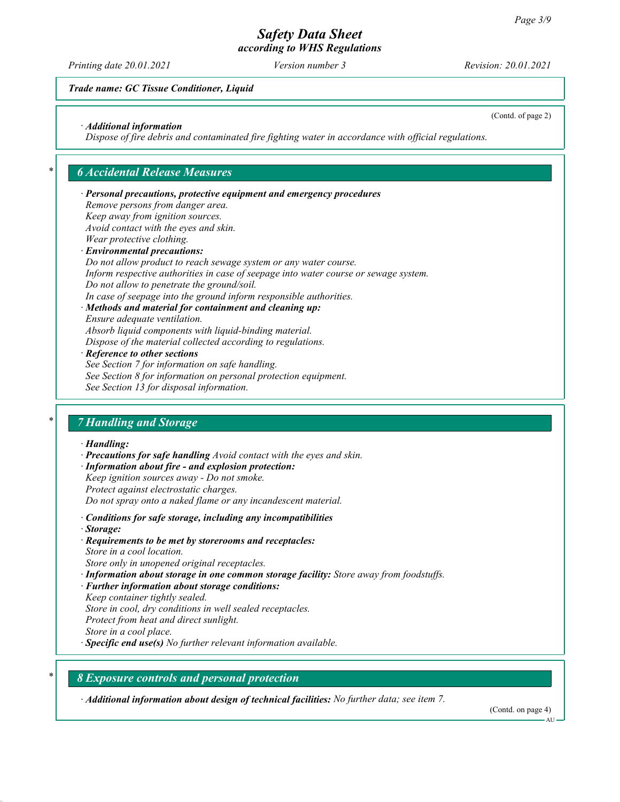Printing date 20.01.2021 **Version number 3** Revision: 20.01.2021

(Contd. of page 2)

### Trade name: GC Tissue Conditioner, Liquid

#### · Additional information

Dispose of fire debris and contaminated fire fighting water in accordance with official regulations.

### **6 Accidental Release Measures**

# · Personal precautions, protective equipment and emergency procedures Remove persons from danger area. Keep away from ignition sources. Avoid contact with the eyes and skin. Wear protective clothing. · Environmental precautions: Do not allow product to reach sewage system or any water course. Inform respective authorities in case of seepage into water course or sewage system. Do not allow to penetrate the ground/soil. In case of seepage into the ground inform responsible authorities. · Methods and material for containment and cleaning up: Ensure adequate ventilation. Absorb liquid components with liquid-binding material. Dispose of the material collected according to regulations. Reference to other sections See Section 7 for information on safe handling. See Section 8 for information on personal protection equipment. See Section 13 for disposal information. **7 Handling and Storage**

#### · Handling:

- · Precautions for safe handling Avoid contact with the eyes and skin. · Information about fire - and explosion protection: Keep ignition sources away - Do not smoke. Protect against electrostatic charges. Do not spray onto a naked flame or any incandescent material.
- · Conditions for safe storage, including any incompatibilities
- · Storage:
- · Requirements to be met by storerooms and receptacles: Store in a cool location.

Store only in unopened original receptacles.

- · Information about storage in one common storage facility: Store away from foodstuffs.
- · Further information about storage conditions:

Keep container tightly sealed.

Store in cool, dry conditions in well sealed receptacles.

Protect from heat and direct sunlight.

Store in a cool place.

· Specific end use(s) No further relevant information available.

### 8 Exposure controls and personal protection

· Additional information about design of technical facilities: No further data; see item 7.

(Contd. on page 4)

AH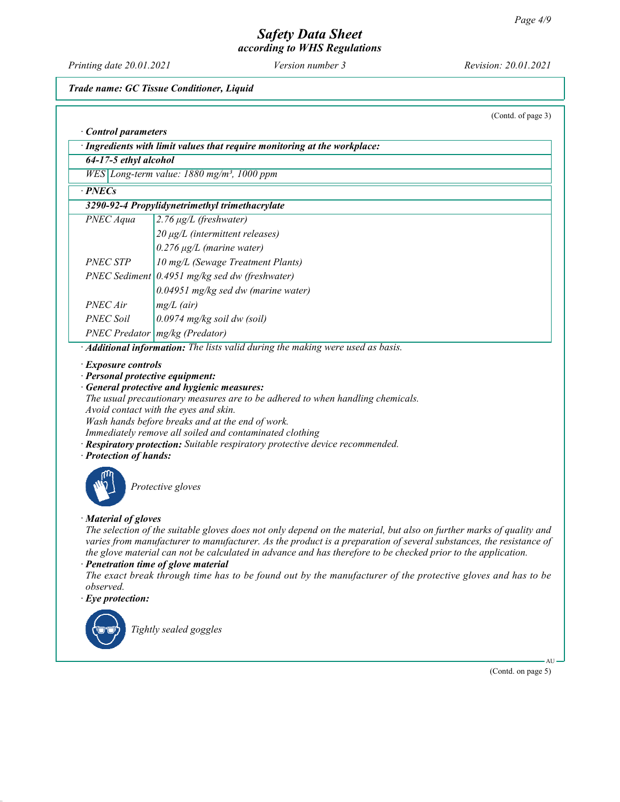Printing date 20.01.2021 Version number 3 Revision: 20.01.2021

Trade name: GC Tissue Conditioner, Liquid

|                                                                                                                                                                                                                                                                                                                                                                                                                                                           | (Contd. of page 3)                                                                                                                                                                                                                                                                                                                                                                                                                                                                                                                          |  |  |
|-----------------------------------------------------------------------------------------------------------------------------------------------------------------------------------------------------------------------------------------------------------------------------------------------------------------------------------------------------------------------------------------------------------------------------------------------------------|---------------------------------------------------------------------------------------------------------------------------------------------------------------------------------------------------------------------------------------------------------------------------------------------------------------------------------------------------------------------------------------------------------------------------------------------------------------------------------------------------------------------------------------------|--|--|
| Control parameters                                                                                                                                                                                                                                                                                                                                                                                                                                        |                                                                                                                                                                                                                                                                                                                                                                                                                                                                                                                                             |  |  |
| · Ingredients with limit values that require monitoring at the workplace:                                                                                                                                                                                                                                                                                                                                                                                 |                                                                                                                                                                                                                                                                                                                                                                                                                                                                                                                                             |  |  |
| 64-17-5 ethyl alcohol                                                                                                                                                                                                                                                                                                                                                                                                                                     |                                                                                                                                                                                                                                                                                                                                                                                                                                                                                                                                             |  |  |
|                                                                                                                                                                                                                                                                                                                                                                                                                                                           | WES Long-term value: 1880 mg/m <sup>3</sup> , 1000 ppm                                                                                                                                                                                                                                                                                                                                                                                                                                                                                      |  |  |
| $\cdot$ PNECs                                                                                                                                                                                                                                                                                                                                                                                                                                             |                                                                                                                                                                                                                                                                                                                                                                                                                                                                                                                                             |  |  |
|                                                                                                                                                                                                                                                                                                                                                                                                                                                           | 3290-92-4 Propylidynetrimethyl trimethacrylate                                                                                                                                                                                                                                                                                                                                                                                                                                                                                              |  |  |
| PNEC Aqua                                                                                                                                                                                                                                                                                                                                                                                                                                                 | $2.76 \mu g/L$ (freshwater)                                                                                                                                                                                                                                                                                                                                                                                                                                                                                                                 |  |  |
|                                                                                                                                                                                                                                                                                                                                                                                                                                                           | 20 μg/L (intermittent releases)                                                                                                                                                                                                                                                                                                                                                                                                                                                                                                             |  |  |
|                                                                                                                                                                                                                                                                                                                                                                                                                                                           | $0.276 \mu g/L$ (marine water)                                                                                                                                                                                                                                                                                                                                                                                                                                                                                                              |  |  |
| <b>PNEC STP</b>                                                                                                                                                                                                                                                                                                                                                                                                                                           | 10 mg/L (Sewage Treatment Plants)                                                                                                                                                                                                                                                                                                                                                                                                                                                                                                           |  |  |
|                                                                                                                                                                                                                                                                                                                                                                                                                                                           | PNEC Sediment $(0.4951 \text{ mg/kg} \text{ sed dw (freshwater)})$                                                                                                                                                                                                                                                                                                                                                                                                                                                                          |  |  |
|                                                                                                                                                                                                                                                                                                                                                                                                                                                           | $0.04951$ mg/kg sed dw (marine water)                                                                                                                                                                                                                                                                                                                                                                                                                                                                                                       |  |  |
| PNEC Air                                                                                                                                                                                                                                                                                                                                                                                                                                                  | $mg/L$ (air)                                                                                                                                                                                                                                                                                                                                                                                                                                                                                                                                |  |  |
| <b>PNEC Soil</b>                                                                                                                                                                                                                                                                                                                                                                                                                                          | 0.0974 mg/kg soil dw (soil)                                                                                                                                                                                                                                                                                                                                                                                                                                                                                                                 |  |  |
|                                                                                                                                                                                                                                                                                                                                                                                                                                                           | PNEC Predator   mg/kg (Predator)                                                                                                                                                                                                                                                                                                                                                                                                                                                                                                            |  |  |
|                                                                                                                                                                                                                                                                                                                                                                                                                                                           | · Additional information: The lists valid during the making were used as basis.                                                                                                                                                                                                                                                                                                                                                                                                                                                             |  |  |
| · Exposure controls<br>· Personal protective equipment:<br>General protective and hygienic measures:<br>The usual precautionary measures are to be adhered to when handling chemicals.<br>Avoid contact with the eyes and skin.<br>Wash hands before breaks and at the end of work.<br>Immediately remove all soiled and contaminated clothing<br>· Respiratory protection: Suitable respiratory protective device recommended.<br>· Protection of hands: |                                                                                                                                                                                                                                                                                                                                                                                                                                                                                                                                             |  |  |
| Protective gloves                                                                                                                                                                                                                                                                                                                                                                                                                                         |                                                                                                                                                                                                                                                                                                                                                                                                                                                                                                                                             |  |  |
| · Material of gloves<br>observed.<br>$\cdot$ Eye protection:                                                                                                                                                                                                                                                                                                                                                                                              | The selection of the suitable gloves does not only depend on the material, but also on further marks of quality and<br>varies from manufacturer to manufacturer. As the product is a preparation of several substances, the resistance of<br>the glove material can not be calculated in advance and has therefore to be checked prior to the application.<br>· Penetration time of glove material<br>The exact break through time has to be found out by the manufacturer of the protective gloves and has to be<br>Tightly sealed goggles |  |  |

(Contd. on page 5)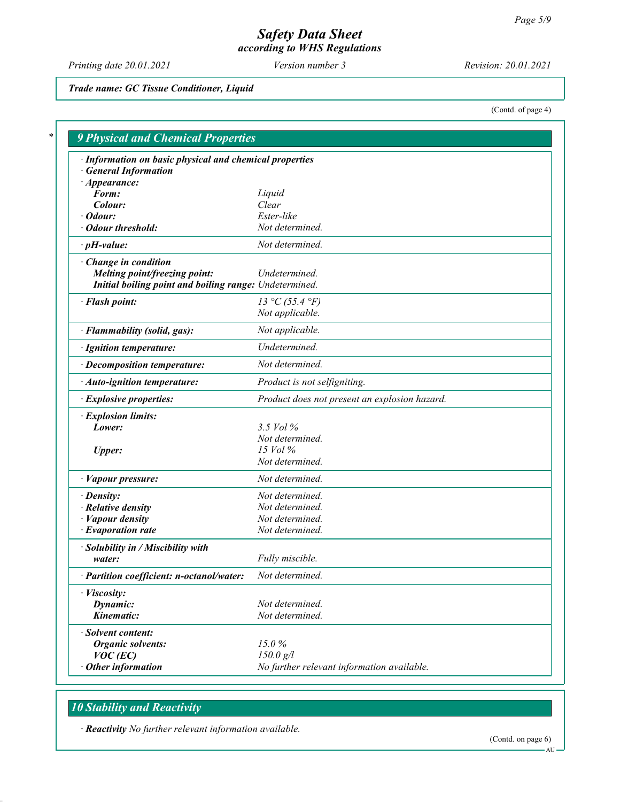Printing date 20.01.2021 Version number 3 Revision: 20.01.2021

### Trade name: GC Tissue Conditioner, Liquid

(Contd. of page 4)

| · Information on basic physical and chemical properties<br><b>General Information</b> |                                               |
|---------------------------------------------------------------------------------------|-----------------------------------------------|
| $\cdot$ Appearance:                                                                   |                                               |
| Form:                                                                                 | Liquid                                        |
| Colour:                                                                               | Clear                                         |
| $\cdot$ Odour:                                                                        | Ester-like                                    |
| · Odour threshold:                                                                    | Not determined.                               |
| $\cdot$ pH-value:                                                                     | Not determined.                               |
| · Change in condition                                                                 |                                               |
| Melting point/freezing point:                                                         | Undetermined.                                 |
| Initial boiling point and boiling range: Undetermined.                                |                                               |
| · Flash point:                                                                        | 13 °C (55.4 °F)                               |
|                                                                                       | Not applicable.                               |
| · Flammability (solid, gas):                                                          | Not applicable.                               |
| · Ignition temperature:                                                               | Undetermined.                                 |
| · Decomposition temperature:                                                          | Not determined.                               |
| $\cdot$ Auto-ignition temperature:                                                    | Product is not selfigniting.                  |
| · Explosive properties:                                                               | Product does not present an explosion hazard. |
| · Explosion limits:                                                                   |                                               |
| Lower:                                                                                | 3.5 Vol %                                     |
|                                                                                       | Not determined.                               |
| <b>Upper:</b>                                                                         | $15$ Vol $\%$                                 |
|                                                                                       | Not determined.                               |
| $\cdot$ <i>Vapour pressure:</i>                                                       | Not determined.                               |
| $\cdot$ Density:                                                                      | Not determined.                               |
| · Relative density                                                                    | Not determined.                               |
| $\cdot$ <i>Vapour density</i>                                                         | Not determined.                               |
| $\cdot$ Evaporation rate                                                              | Not determined.                               |
| · Solubility in / Miscibility with                                                    |                                               |
| water:                                                                                | Fully miscible.                               |
| · Partition coefficient: n-octanol/water:                                             | Not determined.                               |
| · Viscosity:                                                                          |                                               |
| Dynamic:                                                                              | Not determined.                               |
| Kinematic:                                                                            | Not determined.                               |
| · Solvent content:                                                                    |                                               |
| <b>Organic solvents:</b>                                                              | 15.0%                                         |
| $VOC$ (EC)                                                                            | $150.0$ g/l                                   |
| $\cdot$ Other information                                                             | No further relevant information available.    |

# **10 Stability and Reactivity**

· Reactivity No further relevant information available.

(Contd. on page 6)

 $AU -$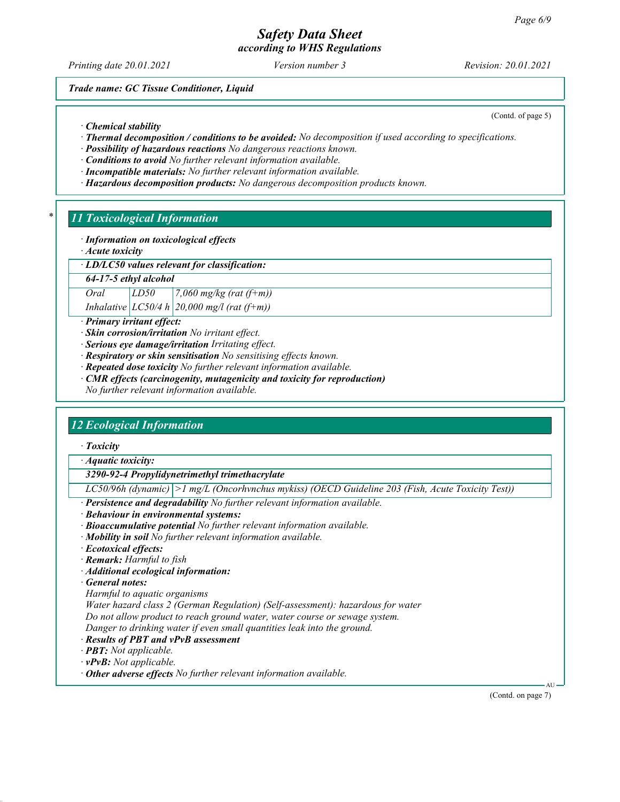# Safety Data Sheet

according to WHS Regulations

Printing date 20.01.2021 **Version number 3** Revision: 20.01.2021

(Contd. of page 5)

Trade name: GC Tissue Conditioner, Liquid

· Chemical stability

· Thermal decomposition / conditions to be avoided: No decomposition if used according to specifications.

· Possibility of hazardous reactions No dangerous reactions known.

· Conditions to avoid No further relevant information available.

· Incompatible materials: No further relevant information available.

· Hazardous decomposition products: No dangerous decomposition products known.

# **11 Toxicological Information**

· Information on toxicological effects

· Acute toxicity

· LD/LC50 values relevant for classification:

64-17-5 ethyl alcohol

Oral  $LD50$  7,060 mg/kg (rat (f+m))

Inhalative  $|LC50/4 h| 20,000$  mg/l (rat (f+m))

· Primary irritant effect:

· Skin corrosion/irritation No irritant effect.

· Serious eye damage/irritation Irritating effect.

· Respiratory or skin sensitisation No sensitising effects known.

· Repeated dose toxicity No further relevant information available.

CMR effects (carcinogenity, mutagenicity and toxicity for reproduction)

No further relevant information available.

# 12 Ecological Information

· Toxicity

· Aquatic toxicity:

3290-92-4 Propylidynetrimethyl trimethacrylate

LC50/96h (dynamic) >1 mg/L (Oncorhvnchus mykiss) (OECD Guideline 203 (Fish, Acute Toxicity Test))

Persistence and degradability No further relevant information available.

- · Behaviour in environmental systems:
- · Bioaccumulative potential No further relevant information available.
- $\cdot$  **Mobility in soil** No further relevant information available.
- · Ecotoxical effects:
- · Remark: Harmful to fish
- · Additional ecological information:

· General notes:

Harmful to aquatic organisms

Water hazard class 2 (German Regulation) (Self-assessment): hazardous for water

Do not allow product to reach ground water, water course or sewage system.

Danger to drinking water if even small quantities leak into the ground.

· Results of PBT and vPvB assessment

· PBT: Not applicable.

 $\cdot$  vPvB: Not applicable.

 $\cdot$  Other adverse effects No further relevant information available.

(Contd. on page 7)

AU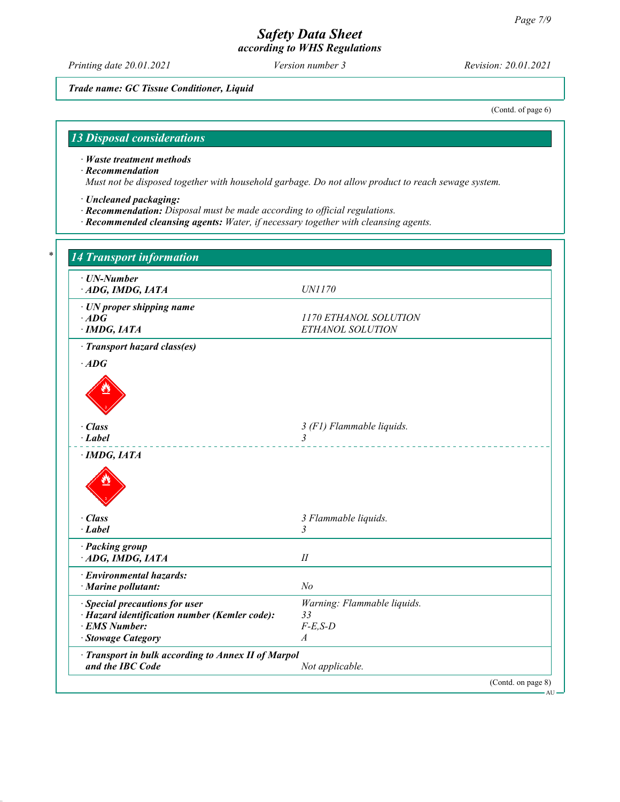Printing date 20.01.2021 Version number 3 Revision: 20.01.2021

Trade name: GC Tissue Conditioner, Liquid

(Contd. of page 6)

# 13 Disposal considerations

· Waste treatment methods

· Recommendation

Т

Must not be disposed together with household garbage. Do not allow product to reach sewage system.

- · Uncleaned packaging:
- · Recommendation: Disposal must be made according to official regulations.
- · Recommended cleansing agents: Water, if necessary together with cleansing agents.

| · UN-Number<br>ADG, IMDG, IATA                                          | <i>UN1170</i>                             |
|-------------------------------------------------------------------------|-------------------------------------------|
| · UN proper shipping name<br>$\cdot$ ADG<br>$\cdot$ IMDG, IATA          | 1170 ETHANOL SOLUTION<br>ETHANOL SOLUTION |
| · Transport hazard class(es)                                            |                                           |
| $\cdot$ ADG                                                             |                                           |
|                                                                         |                                           |
| · Class                                                                 | 3 (F1) Flammable liquids.                 |
| $\cdot$ Label                                                           | $\overline{3}$<br>.                       |
|                                                                         |                                           |
| $\cdot$ Class                                                           | 3 Flammable liquids.                      |
| $\cdot$ Label                                                           | $\overline{3}$                            |
| · Packing group<br>ADG, IMDG, IATA                                      | $I\!I$                                    |
| · Environmental hazards:<br>$\cdot$ Marine pollutant:                   | N <sub>o</sub>                            |
| · Special precautions for user                                          | Warning: Flammable liquids.               |
| · Hazard identification number (Kemler code):                           | 33                                        |
| · EMS Number:<br>· Stowage Category                                     | $F-E$ , $S-D$<br>$\boldsymbol{A}$         |
|                                                                         |                                           |
| · Transport in bulk according to Annex II of Marpol<br>and the IBC Code | Not applicable.                           |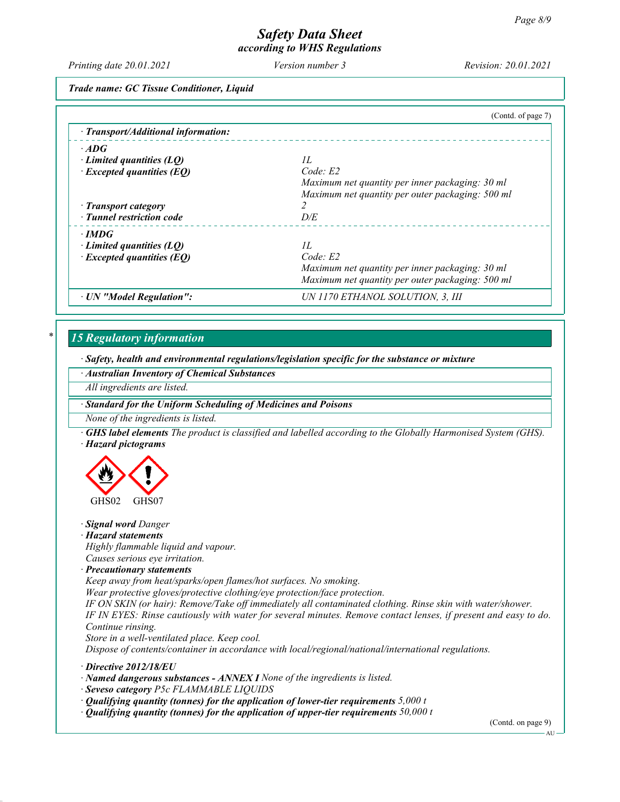Printing date 20.01.2021 Version number 3 Revision: 20.01.2021

Trade name: GC Tissue Conditioner, Liquid

|                                     | (Contd. of page 7)                               |
|-------------------------------------|--------------------------------------------------|
| · Transport/Additional information: |                                                  |
| $\cdot$ ADG                         |                                                  |
| Limited quantities $(LQ)$           | H                                                |
| $\cdot$ Excepted quantities (EQ)    | Code: E2                                         |
|                                     | Maximum net quantity per inner packaging: 30 ml  |
|                                     | Maximum net quantity per outer packaging: 500 ml |
| · Transport category                |                                                  |
| · Tunnel restriction code           | D/E                                              |
| $\cdot$ IMDG                        |                                                  |
| Limited quantities $(LO)$           | H                                                |
| $\cdot$ Excepted quantities (EQ)    | Code: E2                                         |
|                                     | Maximum net quantity per inner packaging: 30 ml  |
|                                     | Maximum net quantity per outer packaging: 500 ml |
| · UN "Model Regulation":            | UN 1170 ETHANOL SOLUTION, 3, III                 |

# 15 Regulatory information

· Safety, health and environmental regulations/legislation specific for the substance or mixture

· Australian Inventory of Chemical Substances

All ingredients are listed.

· Standard for the Uniform Scheduling of Medicines and Poisons

None of the ingredients is listed.

· GHS label elements The product is classified and labelled according to the Globally Harmonised System (GHS). · Hazard pictograms



· Signal word Danger

· Hazard statements

Highly flammable liquid and vapour. Causes serious eye irritation.

· Precautionary statements

Keep away from heat/sparks/open flames/hot surfaces. No smoking.

Wear protective gloves/protective clothing/eye protection/face protection.

IF ON SKIN (or hair): Remove/Take off immediately all contaminated clothing. Rinse skin with water/shower. IF IN EYES: Rinse cautiously with water for several minutes. Remove contact lenses, if present and easy to do. Continue rinsing.

Store in a well-ventilated place. Keep cool.

Dispose of contents/container in accordance with local/regional/national/international regulations.

· Directive 2012/18/EU

· Named dangerous substances - ANNEX I None of the ingredients is listed.

· Seveso category P5c FLAMMABLE LIQUIDS

- $\cdot$  Qualifying quantity (tonnes) for the application of lower-tier requirements 5,000 t
- $\cdot$  Qualifying quantity (tonnes) for the application of upper-tier requirements 50,000 t

(Contd. on page 9)

AU